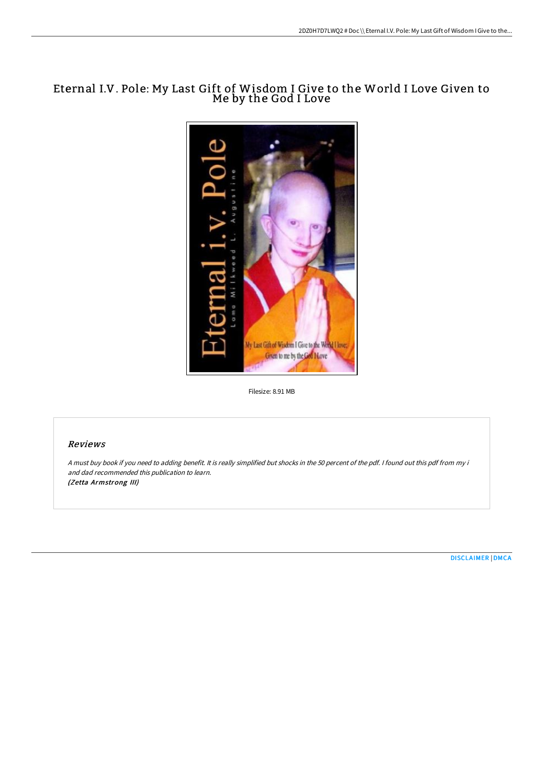# Eternal I.V. Pole: My Last Gift of Wisdom I Give to the World I Love Given to Me by the God I Love



Filesize: 8.91 MB

## Reviews

<sup>A</sup> must buy book if you need to adding benefit. It is really simplified but shocks in the <sup>50</sup> percent of the pdf. <sup>I</sup> found out this pdf from my i and dad recommended this publication to learn. (Zetta Armstrong III)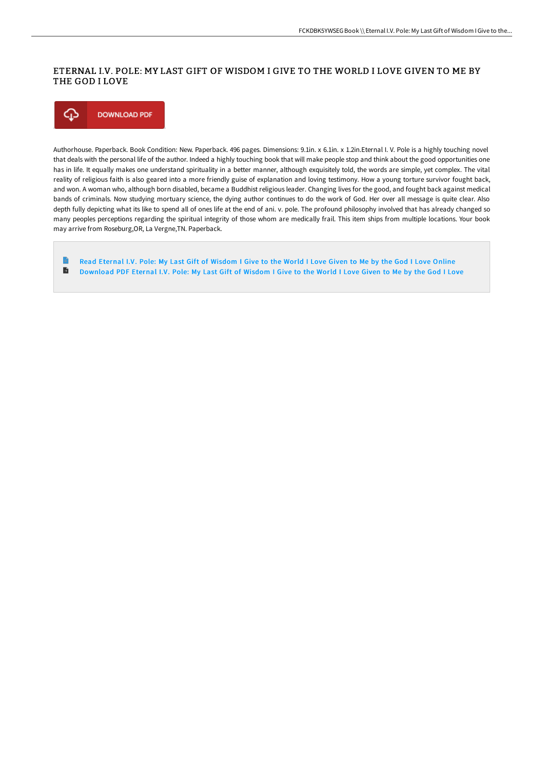## ETERNAL I.V. POLE: MY LAST GIFT OF WISDOM I GIVE TO THE WORLD I LOVE GIVEN TO ME BY THE GOD I LOVE



Authorhouse. Paperback. Book Condition: New. Paperback. 496 pages. Dimensions: 9.1in. x 6.1in. x 1.2in.Eternal I. V. Pole is a highly touching novel that deals with the personal life of the author. Indeed a highly touching book that will make people stop and think about the good opportunities one has in life. It equally makes one understand spirituality in a better manner, although exquisitely told, the words are simple, yet complex. The vital reality of religious faith is also geared into a more friendly guise of explanation and loving testimony. How a young torture survivor fought back, and won. A woman who, although born disabled, became a Buddhist religious leader. Changing lives for the good, and fought back against medical bands of criminals. Now studying mortuary science, the dying author continues to do the work of God. Her over all message is quite clear. Also depth fully depicting what its like to spend all of ones life at the end of ani. v. pole. The profound philosophy involved that has already changed so many peoples perceptions regarding the spiritual integrity of those whom are medically frail. This item ships from multiple locations. Your book may arrive from Roseburg,OR, La Vergne,TN. Paperback.

**P** Read Eternal I.V. Pole: My Last Gift of [Wisdom](http://digilib.live/eternal-i-v-pole-my-last-gift-of-wisdom-i-give-t.html) I Give to the World I Love Given to Me by the God I Love Online  $\mathbf{E}$ [Download](http://digilib.live/eternal-i-v-pole-my-last-gift-of-wisdom-i-give-t.html) PDF Eternal I.V. Pole: My Last Gift of Wisdom I Give to the World I Love Given to Me by the God I Love